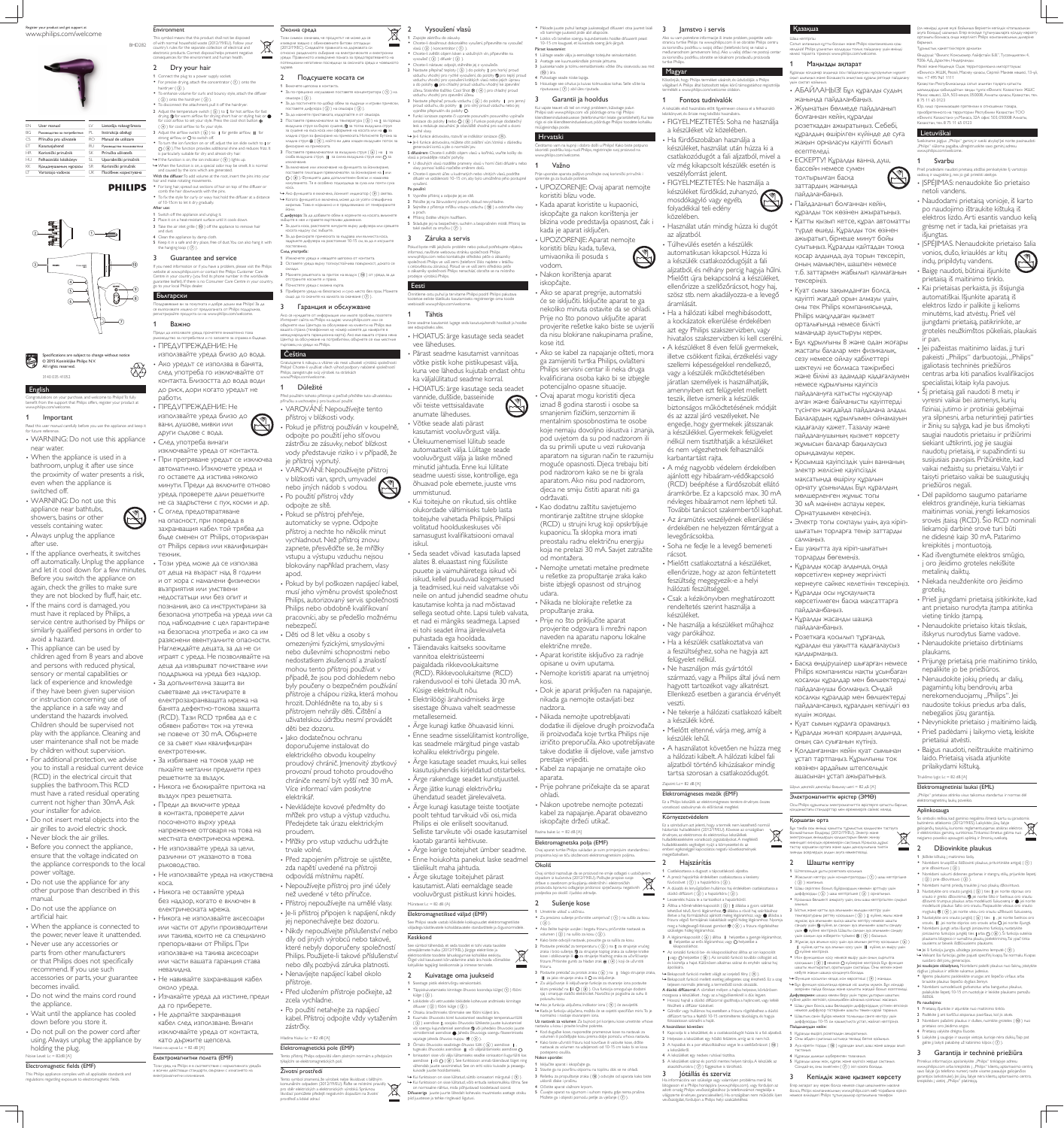### English

Congratulations on your purchase, and welcome to Philips! To fully benefit from the support that Philips offers, register your product at www.philips.com/welcome.

### 1 Important

Read this user manual carefully before you use the appliance and keep it for future reference WARNING: Do not use this appliance near water.

• When the appliance is used in a bathroom, unplug it after use since the proximity of water presents a risk, even when the appliance is switched off. WARNING: Do not use this appliance near bathtubs, showers, basins or other

• If the mains cord is damaged, you must have it replaced by Philips, a service centre authorised by Philips or similarly qualified persons in order to avoid a hazard.

vessels containing water. Always unplug the appliance after use.

• This appliance can be used by children aged from 8 years and above and persons with reduced physical, sensory or mental capabilities or lack of experience and knowledge if they have been given supervision or instruction concerning use of the appliance in a safe way and understand the hazards involved. Children should be supervised not play with the appliance. Cleaning and user maintenance shall not be made by children without supervision. • For additional protection, we advise you to install a residual current device (RCD) in the electrical circuit that supplies the bathroom. This RCD must have a rated residual operating current not higher than 30mA. Ask your installer for advice. Do not insert metal objects into the

- air grilles to avoid electric shock. • Never block the air grilles.
- Before you connect the appliance, ensure that the voltage indicated on the appliance corresponds to the local power voltage.
- Do not use the appliance for any other purpose than described in this manual.
- Do not use the appliance on artificial hair.
- When the appliance is connected to the power, never leave it unattended.
- Never use any accessories or parts from other manufacturers
- or that Philips does not specifically recommend. If you use such accessories or parts, your guarantee
- becomes invalid. Do not wind the mains cord round
- the appliance. • Wait until the appliance has cooled
- down before you store it. • Do not pull on the power cord after
- using. Always unplug the appliance by holding the plug. Noise Level: Lc = 82dB [A]

# Electromagnetic fields (EMF)

This Philips appliance complies with all applicable standards and regulations regarding exposure to electromagnetic fields.

от Philips сервиз или квалифициран техник.

• Този уред може да се използва от деца на възраст над 8 години и от хора с намалени физически ВЪЗПРИЯТИЯ ИЛИ УМСТВЕНИ недостатъци или без опит и познания, ако са инструктирани за безопасна употреба на уреда или са под наблюдение с цел гарантиране на безопасна употреба и ако са им разяснени евентуалните опасности. Наглеждайте децата, за да не си играят с уреда. Не позволявайте на Деца да извършват почистване или поддръжка на уреда без надзор. • За допълнителна защита ви съветваме да инсталирате в електрозахранващата мрежа на банята дефектно-токова защита (RCD). Тази RCD трябва да е с обявен работен ток на утечка не повече от 30 mA. Обърнете се за съвет към квалифициран електротехник, • За избягване на токов удар не пъхайте метални предмети през решетките за въздух. • Никога не блокирайте притока на въздух през решетката. • Преди да включите уреда в контакта, проверете дали посоченото върху уреда напрежение отговаря на това на местната електрическа мрежа. • Не използвайте уреда за цели, различни от указаното в това ръководство. • Не използвайте уреда на изкуствена KOCa. • Никога не оставяйте уреда без надзор, когато е включен в електрическата мрежа. • Никога не използвайте аксесоари или части от други производители или такива, които не са специално препоръчвани от Philips. При използване на такива аксесоари или части вашата гаранция става Невалидна. • Не навивайте захранващия кабел apod. nebezpečí. děti bez dozoru. elektrikář. proudem. trvale volné. přístroje.

около уреда. • Изчакайте уреда да изстине, преди да го приберете. • Не дърпайте захранващия кабел след използване. Винаги изключвайте уреда от контакта, като държите щепсела. Ниво на шума: Lc = 82 dB [A]

# Електромагнитни полета (ЕМF)

Този уред на Philips е в съответствие с нормативната уредба и всички действащи стандарти, свързани с излагането на електромагнитни излъчвания.

Register your product and get support at www.philips.com/welcome



This symbol means that this product shall not be disposed of with normal household waste (2012/19/EU). Follow your country's rules for the separate collection of electrical and electronic products. Correct disposal helps prevent negative consequences for the environment and human health. **Contract Contract** 

If you need information or if you have a problem, please visit the Philips website at www.philips.com or contact the Philips Customer Care Centre in your country (you find its phone number in the worldwide guarantee leaflet). If there is no Consumer Care Centre in your country, go to your local Philips dealer охлади. ↑ Приберете уреда на безопасно и сухо място без прах. Можете

# **Български**

се възползвате изцяло от предлаганата от Philips поддръжка, регистрирайте продукта си на www.philips.com/welcome

Преди да използвате уреда, прочетете внимателно това ръководство за потребителя и го запазете за справка в бъдеще • ПРЕДУПРЕЖДЕНИЕ: Не

### $\mid$  Čeština

• Ако уредът се използва в банята, след употреба го изключвайте от контакта. Близостта до вода води www.Philin

• ПРЕДУПРЕЖДЕНИЕ: Не използвайте уреда близо до вани, душове, мивки или

други съдове с вода. • След употреба винаги изключвайте уреда от контакта. • При прегряване уредът се изключва автоматично. Изключете уреда и го оставете да изстива няколко минути. Преди да включите отново уреда, проверете дали решетките не са задръстени с пух, косми и др.

• С оглед предотвратяване на опасност, при повреда в захранващия кабел той трябва да бъде сменен от Philips, оторизиран

—<br>Този символ означава че пролуктът не може ла се изхвърля заедно с обикновените битови отпадъци (2012/19/EC). Следвайте правилата на държавата си ъ носно разделното събиране на електрическите и електронните уреди. Правилното изхвърляне помага за предотвратяването на отенциални негативни последици за околната среда и човешкото

Околна среда

3∆DaBe

2 Подсушете косата си 1 Включете шепсела в контакта. • За по-прецизно изсушаване поставете концентратора ( $\Omega$ ) на сешоара $($  $($ 3)). • За да постигнете по-добър обем за къдрици и игриви прически поставете дифузора  $(Q)$ ) на сешоара  $(Q)$ ). За да махнете приставката, издърпайте я от сешоара 2  $\Box$ ОСТАВЕТЕ ПРЕВКЛЮЧВАТЕЛЯ ЗА ТЕМПЕРАТУРА ( $\Box$ ) на  $\partial$  за гореща въздушна струя за бързо сушене. Э за топла въздушна струя за сушене на къса коса или оформяне на косата или на • за хладна струя за фиксиране на прическата. Натиснете бутона за ХЛАДНА СТРУЯ Ф (4), КОЙТО ВИ ДАВА ХЛАДЕН ВЪЗДУШЕН ПОТОК ЗА фиксиране на прическата. 3 Поставете превключвателя за въздушна струя  $(6)$ ) на | за  $\alpha$ аба въздушна струя.  $\blacksquare$ за силна въздушна струя или  $\bigcap$ за изключване • За включване или изключване на функцията за йонизиране оставете плъзгащия превключвател за йонизиране на | или

| FN        | User manual                | LV        | Lietotāja rokasgrāmata   |
|-----------|----------------------------|-----------|--------------------------|
| BG.       | Рьководство за потребителя | PL.       | Instrukcja obsługi       |
| CS        | Příručka pro uživatele     | RO.       | Manual de utilizare      |
| FТ        | Kasutusjuhend              | RU        | Руководство пользователя |
| <b>HR</b> | Korisnički priručnik       | SK        | Príručka užívateľa       |
| HU.       | Felhasználói kézikönyv     | SL.       | Uporabniški priročnik    |
| КK        | Қолданушының нұсқасы       | <b>SR</b> | Korisnički priručnik     |
| IΤ        | Vartotojo vadovas          | UΚ        | Посібник користувача     |
|           |                            |           |                          |



Specifications are subject to change without notice PHILES  $\odot$  2015 Koninklijke Philips N.V. All rights reserved

3140 035 41052

# 2 Dry your hair

BHD<sub>282</sub>

**PHILIPS** 

Environment

1 Connect the plug to a power supply socket. • For precise drying, attach the concentrator  $( 0 )$  onto the hairdryer  $( 3)$ ). To enhance volume for curls and bouncy style, attach the diffuser  $(Q)$ ) onto the hairdryer  $(Q)$ ). • To disconnect the attachment, pull it off the hairdryer 2 Adjust the temperature switch  $( \overline{S} )$  to  $\ell \overline{R}$  for hot airflow for fast drying,  $\bigcircled{D}$  for warm airflow for drying short hair or styling hair, or  $\bigcirc$ IF COOL airflow to set your style. Press the cool shot button  $(\widehat{A})$  for cool airflow to fix your style 3 Adjust the airflow switch  $(6)$  to  $\parallel$  for gentle airflow,  $\parallel$  for trong airflow, or  $\bigcirc$  to switch of • To turn the ion function on or off, adjust the ion slide switch to | or  $O$  ( $\circledast$ ). The function provides additional shine and reduces frizz. It is particularly suitable for dry and almost-dry hair.  $\mapsto$  If the function is on, the ion indicator ( $\circ$ ) lights up.  $\rightarrow$  When the function is on, a special odor may be smelt. It is normal and caused by the ions which are generated. With the diffuser: To add volume at the root, insert the pins into your and make rotating mov • For long hair, spread out sections of hair on top of the diffuser or comb the hair downwards with the pins. • To fix the style for curly or way hair hold the diffuser at a distance  $O$  (  $\circ$ )). Функцията дава допълнителен блясък и намалява KOCa. → Ако функцията е включена, йонният индикатор (  $\circ$ ) светва. В Когато функцията е включена, може да се усети специфична

After use: 1 Switch off the appliance and unplug it. 2 Place it on a heat-resistant surface until it cools down. 3 Take the air inlet grille  $($   $($ <sub>0</sub> $)$  off the appliance to remove hair and dust. 4 Clean the appliance by damp cloth.

# of 10-15cm to let it dry gradually.

5 Keep it in a safe and dry place, free of dust. You can also hang it with the hanging loop  $(7)$ .

# 3 Guarantee and service

1 Изключете уреда и извадете щепсела от контакта. 2 Оставете уреда върху топлоустойчива повърхност, докато се 3 Махнете решетката за приток на въздух ( $\overline{00}$ ) от уреда, за да страните космите и праха 4 Почистете урела с влажна кърпа.

ПОСТЕПЕННО След употреба:

йони.

зъбците в нея и правете въртеливи движения

• За да фиксирате прическата за къдрава или вълниста коса, ЗАЛОЪЖТЕ ЛИФУЗЕЛА НА DARCTORHUE 10-15 CM ЗА ЛА Я ИЗСУШИТЕ

 $\hat{C}$ 3 Гаранция и обслужване

Ако се нуждаете от информация или имате проблем, посетете Интернет сайта на Philips на адрес www.philips.com или се Обърнете към Центъра за обслужване на клиенти на Philips във вашата страна (телефонния му номер можете да намерите в

«осата надолу със зъбците.

Поздравяваме ви за покупката и добре дошли във Philips! За да

# Важно

работи.

международната гаранционна карта). Ако във вашата страна няма Център за обслужване на потребители, обърнете се към местния търговец на уреди на Philips

### използвайте уреда близо до вода.

Gratuluieme k nákupu a vítáme vás mezi uživateli výrobků společnosti s! Chcete-li využívat všech výhod podpory nabízené společnost Philips, zaregistrujte svůj výrobek na stránkách

### 1 Důležité

до риск, дори когато уредът не Před použitím tohoto přístroje si pečlivě přečtěte tuto uživatelskou příručku a uschovejte ji pro budoucí použit • VAROVÁNÍ: Nepoužívejte tento přístroj v blízkosti vody.

· Pokud je přístroj používán v koupelně, odpojte po použití jeho síťovou zástrčku ze zásuvky, neboť blízkost vody představuje riziko i v případě, že

je přístroj vypnutý. • VAROVÁNÍ: Nepoužívejte přístroj v blízkosti van, sprch, umyvadel nebo jiných nádob s vodou. • Po použití přístroi vždy

нето. Тя е особено полхоляща за суха или почти суха

odpojte ze sítě. · Pokud se přístroj přehřeje, automaticky se vypne. Odpojte přístroj a nechte ho několik minut vychladnout. Než přístroj znovu

### 2 Vysoušení vlasů  $\forall$ 1 Zapojte zástrčku do zásuvky.

**Contract** 

Chcete-li dosáhnout dokonalého vysušení, připevněte na vysoušeč vlasů (3) koncentrátor (1)

• Chcete-li zvětšit obiem loken a vzdušných vln. připevněte na vysoušeč $(3)$ ) difuzér $(2)$ · Chcete-li nástavec odpojit, stáhněte jej z vysoušeče 2 Nastavte přepínač teploty  $(5)$ ) do polohy  $\ell$  pro horký proud vzduchu vhodný pro rychlé vysoušení, do polohy  $\mathcal D$  pro teplý proud vzduchu vhodný pro rýchle vysoušení, ab poloný g pro teprý prv<br>vzduchu vhodný pro vysoušení krátkých vlasů nebo iejich úpravu a do polohy  $\bullet$  pro chladný proud vzduchu vhodný ke zpevnění účesu. Stiskněte tlačítko Cool Shot ※ (4) pro chladný proud zduchu vhodný pro zpevnění účesu. 3 Nastavte přepínač proudu vzduchu (6) do polohy | pro jemný proud vzduchu, do polohy II pro silný proud vzduchu nebo jej .<br>vypněte přepnutím do polohy O.

Funkci ionizace zapnete či vypnete posunutím posuvného vypínače ionizace do polohy | nebo  $\overline{O}$  ( $\circledast$ ) Funkce poskytuje dodatečný lesk a redukuje zacuchání. Je obzvláště vhodná pro suché a skoro suché vlasy.  $\rightarrow$  Je-li funkce aktivována, rozsvítí se indikátor ionizace  $(\circled{9})$ .

→ Je-li funkce aktivována, můžete cítit zvláštní vůni. Vzniká v důsledku generování iontů a jde o normální jev S difuzérem: Chcete-li zvětšit objem vlasů u kořínků, vsuňte kolíky do

vlasů a provádějte rotační pohyby • U dlouhých vlasů rozdělte prameny vlasů v horní části difuzéru nebo vlasy nomocí kolíků rozčešte směrem dolů . Chcete-li zpevnit účes u kudrnatých nebo vlnitých vlasů, podržte

vysušení.

také zavěsit za smyčku  $(7)$ ). 3 Záruka a servis

Pokud byste měli jakýkoliv problém nebo pokud potřebujete nějakou informaci, navštivte webovou stránku společnosti Philips www.philips.com nebo kontaktujte středisko péče o zákazníky společnosti Philips ve vaší zemi (telefonní číslo najdete v letáčku s celosvětovou zárukou). Pokud se ve vaší zemi středisko péče o zákazníky společnosti Philips nenachází, obraťte se na místního Srodejce výrobků Philips

které nebyly doporučeny společností Philips, Použijete-li takové příslušenství nebo díly, pozbývá záruka platnosti. Nenavíjejte napájecí kabel okolo

· Před uložením přístroje počkejte, až zcela vychladne. • Po použití netahejte za napájecí

kabel. Přístroj odpojte vždy vytažením zástrčky.

# Hladina hluku: Lc = 82 dB [A]

Elektromagnetická pole (EMP) Tento přístroj Philips odpovídá všem platným normám a předpisům týkajícím se elektromagnetických polí.

### Životní prostředí Tento symbol znamená, že výrobek nelze likvidovat s běžným

vannide, duššide, basseinide või teiste vettsisaldavate anumate läheduses.

 Pikkade juuste puhul laotage juuksesalgud difuuseri otsa juurest laiali või kammige juukseid piide abil allapoole. 3 lamstvo i servis

 Lokkis või lainelise soengu kujundamiseks hoidke difuuserit peast 10-15 cm kaugusel, et kuivatada soeng järk-järgult. Pärast kasutamist 1 Lülitage seade välja ja eemaldage toitejuhe seinakontaktist. 2 Asetage see kuumusekindlale pinnale jahtuma.

vodom. • Nakon korištenja aparat

iskopčajte. Ako se aparat pregrije, automatski će se isključiti. Isključite aparat te ga nekoliko minuta ostavite da se ohladi.

Prije no što ponovo uključite aparat provjerite rešetke kako biste se uvjerili da nisu blokirane nakupinama prašine, kose itd.

• Ako se kabel za napajanje ošteti, mora ga zamijeniti tvrtka Philips, ovlašteni Philips servisni centar ili neka druga kvalificirana osoba kako bi se izbjegle potencijalno opasne situacije. Ovaj aparat mogu koristiti djeca iznad 8 godina starosti i osobe sa smanjenim fizičkim, senzornim ili mentalnim sposobnostima te osobe koje nemaju dovoljno iskustva i znanja, pod uvjetom da su pod nadzorom ili da su primili upute u vezi rukovanja aparatom na siguran način te razumiju moguće opasnosti. Djeca trebaju biti

pod nadzorom kako se ne bi igrala aparatom. Ako nisu pod nadzorom, djeca ne smiju čistiti aparat niti ga održavati. • Kao dodatnu zaštitu savjetujemo

montiranje zaštitne strujne sklopke (RCD) u strujni krug koji opskrbljuje kupaonicu. Ta sklopka mora imati preostalu radnu električnu energiju koja ne prelazi 30 mA, Saviet zatražite od montažera. Nemojte umetati metalne predmete u rešetke za propuštanje zraka kako

### Казакша

Маңызды ақпарат

жанында пайдаланбаңыз.

болғаннан кейін, құралды

ушін сақтап қойыныз

ecenteneai.

тексеріңіз.

.<br>«ДАЛДЫ ҚОЛДАНАД АЛДЫНДА ОСЫ ПАЙДАЛАНУШЫ Н<u>У</u>СҚАУЛЫҒЫН М<u>У</u>ҚИЯ ∣п шығыңыз және болашақта анықтама құралы ретінде пайдалану ол нөмірді дуние жүзі бойынша берілетін кепілдік кітапшасынағ луға болады) шалыңыз. Егер еліңізде тұтынушыларға қолдау көрсету орталығы болмаса, онда жергілікті Philips компаниясынын лилеріне

Өндіруші: "Филипс Консьюмер Лайфстайл Б.В.", Туссендиепен 4,

Ресей және Кедендік Одақ территориясына импорттаушь «Филипс» ЖШК, Ресей, Мәскеу қаласы, Сергей Макеев көшесі, 13-үй

Казакстан Республикасында сатып алынған тауарға қатысты шағымдарды қабылдайтын заңды тұлға: «Филипс Казахстан» ЖШС Манас көшесі, 32А, 503-кеңсе, 050008, Алматы қаласы, Қазақстан, тел.

Юр, лицо принимающее претензии в отношении товара приобретенного на территории Республики Казахстан: <mark>ТО</mark>О «Филипс Казахстан» ул. Манаса, 32А офис 503, 050008 Алматы,

.<br>Sveikiname įsigijus "Philips" gaminį ir sveiki atvykę! Jei norite pasinaudot "Philips" siūloma pagalba, užregistruokite savo gaminį adresu

Prieš pradėdami naudoti prietaisą atidžiai perskaitykite šį vartotojo<br>vadovą ir saugokite jį, nes jo gali prireikti ateityje. · ISPĖIIMAS: nenaudokite šio prietaiso

• Naudodami prietaisą vonioje, iš karto po naudojimo ištraukite kištuka iš elektros lizdo. Arti esantis vanduo kelią grėsmę net ir tada, kai prietaisas yra

• [SPĖJIMAS. Nenaudokite prietaiso šalia

vonios, dušo, kriauklės ar kitu

· Kai prietaisas perkaista, jis išsijungia automatiškai. Išjunkite aparatą iš elektros lizdo ir palikite jį kelioms minutėms, kad atvėstų. Prieš vėl jjungdami prietaisą, patikrinkite, ar grotelės neužkimštos pūkeliais, plaukais

• Jei pažeistas maitinimo laidas, jį turi pakeisti "Philips" darbuotojai, "Philips"

centras arba kiti panašios kvalifikacijos

jgaliotasis techninės priežiūros

dodatke ili dijelove drugih proizvođača ili proizvođača koje tvrtka Philips nije izričito preporučila. Ako upotrebljavate takve dodatke ili dijelove, vaše jamstvo prestaje vrijediti. • Kabel za napajanje ne omatajte oko aparata. • Prije pohrane pričekajte da se aparat ohladi.

• Nakon upotrebe nemojte potezati kabel za napajanje. Aparat obavezno iskopčajte držeći utikač. Razina buke: Lc = 82 dB [A]

Elektromagnetska polja (EMF) Ovaj aparat tvrtke Philips sukladan je svim primjenjivim standardima i ropisima koji se tiču izloženosti elektromagnetskim poljima.

> $\sqrt{7}$ ∕⊢ծ

1 Umetnite utikač u utičnicu.  $\bullet$  Za precizno sušenje pričvrstite usmjerivač ( $\textcircled{1}$ ) na sušilo za kosu  $(\bigcirc)$ · Ako želite bujnije uvojke i bogatu frizuru, pričvrstite nastavak za volumen  $(Q)$ ) na sušilo za kosu  $(Q)$ ). · Kako biste odvojili nastavak, povucite ga sa sušila za kosu.

2 Postavite prekidač za temperaturu  $(5)$ ) na  $\ell$  za strujanje vrućeg zraka i brzo sušenje, 2 za strujanje toplog zraka za sušenje kratke kose i oblikovanje ili  $\bullet$  za strujanje hladnog zraka za učvršćivanje frizure. Pritisnite gumb za hladan zrak  $\mathcal{R}(\overline{4})$  koji će učvrstiti frizuru. 3 Postavite prekidač za protok zraka (6) na | blago strujanje zraka,

 $\parallel$ za jako strujanje zraka ili  $\bigcirc$  za isključenje • Za uključivanje ili isključivanje funkcije za stvaranje iona postavite klizni prekidač na | ili ( ) ( ( ) ). Ova funkcija omogućuje dodatni<br>sjaj i smanjuje statički elektricitet. Naročito je pogodna za suhu ili polusuhu kosu.  $\mapsto$  Ako je funkcija uključena, indikator iona  $(\Theta)$  će zasvijetliti.

→ Kada je funkcija uključena, možda će se osjetiti specifičan miris. To je normalno i nastaje stvaranjem iona. Uz nastavak za volumen: Za bujnost pri korijenu kose umetnite vrhove nastavka u kosu i pravite kružne pokrete

 $\bullet$  Kod dugačke kose, rasporedite pramenove kose na nastavak za volumen ili počešljajte kosu prema dolje pomoću vrhova nastavka · Kako biste učvrstili frizuru kod kovrčave ili valovite kose, držite nastavak za volumen na udaljenosti od 10-15 cm kako bi se kosa

postepeno osušila. Nakon uporabe: 1 Isključite aparat i iskopčajte ga. 2 Stavite ga na površinu otpornu na toplinu dok se ne ohladi

3 Rešetku za propuštanje zraka (@) odvojite od aparata kako biste uklonili dlake i prašinu. 4 Očistite aparat vlažnom krpom

Ako su vam potrebne informacije ili imate problem, posjetite webstranicu tvrtke Philips na www.philips.com ili se obratite Philips centru za korisničku podršku u svojoj državi (telefonski broj se nalazi u neđunarodnom jamstvenom listu). Ako u vašoj državi ne postoji cental za korisničku podršku, obratite se lokalnom prodavaču proizvoda tvrtke Philips. Haш кептіргін Сатып алғаныныз күтты болсын және Philips компаниясына кош келдіңіз! Philips ұсынатын қолдауды толық пайдалану үшін өнімді келесі торапта тіркеңіз: www.philips.com/welcome

# Magyar

világában! A Philips által biztosított teljes körű támogatáshoz regisztrálja

A készülék első használata előtt figyelmesen olyassa el a felhasználói

• FIGYELMEZTETÉS: Soha ne használja

készüléket, használat után húzza ki a csatlakozódugót a fali aljzatból, mivel a víz még kikapcsolt készülék esetén is

 FIGYELMEZTETÉS: Ne használja a készüléket fürdőkád, zuhanyzó, mosdókagyló vagy egyéb, folyadékkal teli edény

• Használat után mindig húzza ki dugót

• Túlhevülés esetén a készülék automatikusan kikapcsol. Húzza ki a készülék csatlakozódugóját a fali

Čestitamo vam na kupnji i dobro došli u Philips! Kako biste potpuno iskoristili podršku koju nudi Philips, registrirajte svoj proizvod na www.philips.com/welcome. Važno

> Prije uporabe aparata pažljivo pročitajte ovaj korisnički priručnik i spremite ga za buduće potrebe. UPOZORENJE: Ovaj aparat nemojte koristiti blizu vode. • Kada aparat koristite u kupaonici,

> > iskopčajte ga nakon korištenja jer blizina vode predstavlja opasnost, čak i kada je aparat isključen. UPOZORENJE: Aparat nemojte koristiti blizu kada, tuševa,

> > > azt egy Philips szakszervizben, vagy hivatalos szakszervizben ki kell cserélni. · A készüléket 8 éven felüli gyermekek, illetve csökkent fizikai, érzékelési vagy szellemi képességekkel rendelkező, vagy a készülék működtetésében járatlan személyek is használhatják, amennyiben ezt felügyelet mellett teszik, illetve ismerik a készülék biztonságos működtetésének módját és az azzal járó veszélyeket. Ne engedje, hogy gyermekek játsszanak a készülékkel. Gyermekek felügyelet nélkül nem tisztíthatják a készüléket és nem végezhetnek felhasználói

rácsot. • Mielőtt csatlakoztatná a készüléket, ellenőrizze, hogy az azon feltüntetett feszültség megegyezik-e a helyi hálózati feszültséggel. • Csak a kézikönyvben meghatározott rendeltetés szerint használja a készüléket. • Ne használja a készüléket műhajhoz vagy parókához. • Ha a készülék csatlakoztatva van a feszültséghez, soha ne hagyja azt felügyelet nélkül. • Ne használjon más gyártótól származó, vagy a Philips által jóvá nem hagyott tartozékot vagy alkatrészt. Ellenkező esetben a garancia érvényét veszti. • Ne tekerje a hálózati csatlakozó kábelt

a készülék köré.

készülék lehűl.

Zajszint: Lc= 82 dB [A]

Környezetvédelem

2 Hajszárítás

szükséges hideg légáramho

fésülheti a diffúzor tüskéivel

fokozatosan száradni a haját. A használatot követően:

Ha információra van szüksége vagy valamilyen probléma merül fel, látogasson el a Philips honlapjára (www.philips.com), vagy forduljon az adott ország Philips vevőszolgálatához (a telefonszámot megtalália a

a készülékről.

# Eesti

Õnnitleme ostu puhul ja tervitame Philipsi poolt! Philipsi pakutava tootetoe eeliste täielikuks kasutamiseks registreerige oma toode veebisaidil www.philips.com/welcome.

### 1 Tähtis

Enne seadme kasutamist lugege seda kasutusjuhendit hoolikalt ja hoidke see edaspidiseks alles. HOIATUS: ärge kasutage seda seadet

vee läheduses.

Pärast seadme kasutamist vannitoas võtke pistik kohe pistikupesast välja, kuna vee lähedus kujutab endast ohtu ka väljalülitatud seadme korral. HOIATUS: ärge kasutage seda seadet

Võtke seade alati pärast kasutamist vooluvõrgust välja. Ülekuumenemisel lülitub seade automaatselt välja. Lülitage seade vooluvõrgust välja ja laske mõned minutid jahtuda. Enne kui lülitate seadme uuesti sisse, kontrollige, ega õhuavad pole ebemete, juuste vms ummistunud.

• Kui toiteiuhe on rikutud, siis ohtlike olukordade vältimiseks tuleb lasta toitejuhe vahetada Philipsis, Philipsi volitatud hoolduskeskuses või samasugust kvalifikatsiooni omaval isikul. zapnete, přesvědčte se, že mřížky Seda seadet võivad kasutada lapsed vstupu a výstupu vzduchu nejsou alates 8. eluaastast ning füüsiliste blokovány například prachem, vlasy puuete ja vaimuhäiretega isikud või isikud, kellel puuduvad kogemused • Pokud by byl poškozen napájecí kabel, ja teadmised, kui neid valvatakse või musí jeho výměnu provést společnost neile on antud juhendid seadme ohutu Philips, autorizovaný servis společnosti kasutamise kohta ja nad mõistavad Philips nebo obdobně kvalifikovaní sellega seotud ohte. Lapsi tuleb valvata, pracovníci, aby se předešlo možnému et nad ei mängiks seadmega. Lapsed ei tohi seadet ilma järelevalveta • Děti od 8 let věku a osoby s puhastada ega hooldada. omezenými fyzickými, smyslovými Täiendavaks kaitseks soovitame nebo duševními schopnostmi nebo vannitoa elektrisüsteemi nedostatkem zkušeností a znalostí paigaldada rikkevoolukaitsme mohou tento přístroj používat v (RCD). Rikkevoolukaitsme (RCD) případě, že jsou pod dohledem nebo rakendusvool ei tohi ületada 30 mA. byly poučeny o bezpečném používání Küsige elektrikult nõu. přístroje a chápou rizika, která mohou Elektrilöögi ärahoidmiseks ärge hrozit. Dohlédněte na to, aby si s sisestage õhuava vahelt seadmesse přístrojem nehrály děti. Čištění a metallesemeid. uživatelskou údržbu nesmí provádět Ärge kunagi katke õhuavasid kinni. Enne seadme sisselülitamist kontrollige, • Jako dodatečnou ochranu kas seadmele märgitud pinge vastab doporučujeme instalovat do kohaliku elektrivõrgu pingele. elektrického obvodu koupelny • Arge kasutage seadet muuks, kui selles proudový chránič. Jmenovitý zbytkový kasutusjuhendis kirjeldatud otstarbeks. provozní proud tohoto proudového • Arge rakendage seadet kunstjuustel. chrániče nesmí být vyšší než 30 mA. Více informací vám poskytne Ärge jätke kunagi elektrivõrku ühendatud seadet järelevalveta. • Nevkládejte kovové předměty do Ärge kunagi kasutage teiste tootjate mřížek pro vstup a výstup vzduchu. poolt tehtud tarvikuid või osi, mida Předejdete tak úrazu elektrickým Philips ei ole eriliselt soovitanud. Selliste tarvikute või osade kasutamisel kaotab garantii kehtivuse. • Mřížky pro vstup vzduchu udržujte Ärge kerige toitejuhet ümber seadme. • Před zapojením přístroje se ujistěte, Enne hoiukohta panekut laske seadmel zda napětí uvedené na přístroji täielikult maha jahtuda. odpovídá místnímu napětí. Ärge sikutage toitejuhet pärast • Nepoužívejte přístroj pro jiné účely kasutamist. Alati eemaldage seade než uvedené v této příručce. vooluvõrgust pistikust kinni hoides. • Přístroj nepoužívejte na umělé vlasy. Müratase: Lc = 82 dB (A) • Je-li přístroj připojen k napájení, nikdy Elektromagnetilised väljad (EMF) jej neponechávejte bez dozoru. See Philipsi seade vastab kõikidele kokkupuudet elektromagnetilis väljadega käsitlevatele kohaldatavatele standarditele ja õigusnormidele. • Nikdy nepoužívejte příslušenství nebo Keskkond díly od jiných výrobců nebo takové, See sümbol tähendab, et seda toodet ei tohi visata tavaliste olmejäätmete hulka (2012/19/EL). Järgige elektriliste ja elektrooniliste toodete lahuskogumise kohalikke eeskirju. Õigel viisil kasutusest kõrvaldamine aitab ära hoida võimalikke kahjulikke tagajärgi keskkonnale ja inimese tervisele. **The Contract of Street** 2 Kuivatage oma juukseid 1 Sisestage pistik elektrivõrgu seinakontakti.  $\bullet$  Täppiskuivatamiseks kinnitage õhuvoo koondaja külge $(\text{I})$  fööni külge  $(Q)$ ). Lokkidele või vetruvatele lokkidele kohevuse andmiseks kinnitage difuuser  $(2)$ ) fööni külge  $(3)$ . Otsaku äravõtmiseks tõmmake see fööni küljest ära. 2 Kuumaks õhuvooks kiirel kuivatamisel seadistage temperatuurilüliti  $(\overline{S})$ ) asendisse  $\overline{\mathbf{v}}$ , soojaks õhuvooks lühikeste juuste kuivatamisel või soengu kujundamisel asendisse 2 või jahedaks õhuvooks juuste viimistlemisel asendisse . Jaheda õhuvooga soengu fikseerimiseks vajutage jaheda õhuvoo nuppu ※(4). **3** Õrnaks õhuvooks seadistage õhuvoo lüliti  $($   $)$  asendisse  $|$ , tugevaks õhuvooks asendisse || või väljalülitamiseks asendisse O. Ionisaatori sisse või välja lülitamiseks seadke ionisaatori liugurlüliti kas asendisse  $\vert \nabla \tilde{O}(\mathcal{B})\rangle$ . See funktsioon annab täiendavat läiget ning vähendab juuste sassiminekut. See on eriti sobiv kuivade ja peaaegu kuivade juuste hooldamiseks.  $\rightarrow$  Kui funktsioon on sisse lülitatud, süttib ionisaatori märgutuli ( $\circled{9}$ ).  $R_{\text{R}}$  NAPA CONSIDERED CONSIDER (2012/19/EU). Nudte se místními pravidly » Kui funktsioon on sisse lülitatud, võib erituda iseloomulikku lõhna. See on normaalne nähtus, mida põhjustavad toodetavad ioonid. pro sběr elektrických a elektronických výrobků. Správnou

www.philips.com/welcome. 1 Svarbu

specialistai, kitaip kyla pavojus. • Šį prietaisą gali naudoti 8 metų ir vyresni vaikai bei asmenys, kurių fiziniai, jutimo ir protiniai gebėjimai yra silpnesni, arba neturintieji patirties ir žinių su sąlyga, kad jie bus išmokyti saugiai naudotis prietaisu ir prižiūrimi siekiant užtikrinti, jog jie saugiai naudotų prietaisą, ir supažindinti su susijusiais pavojais. Prižiūrėkite, kad vaikai nežaistų su prietaisu. Valyti ir taisyti prietaiso vaikai be suaugusiųjų

priežiūros negali.

• Dėl papildomo saugumo patariame elektros grandinėje, kuria tiekiamas maitinimas voniai, įrengti liekamosios srovės įtaisą (RCD). Šio RCD nominali

liekamoji darbinė srovė turi būti ne didesnė kaip 30 mA. Patarimo

· Kad išvengtumėte elektros smūgio, j oro įleidimo groteles nekiškite

• Niekada neuždenkite oro įleidimo

• Prieš įjungdami prietaisą įsitikinkite, kad

kreipkitės į montuotoją

metaliniy daikty.

groteliy.

indy, pripildyty vandens. · Baige naudoti, būtinai išjunkite prietaisą iš maitinimo tinklo.

барыныз.

Турмыстык кажеттіліктерге арналған

9206 А.Д. Драхтен, Нидерланды

Казахстан төл 8 75 11 65 0123

| Lietuviškai

# 3 Juuksekarvade ja tolmu eemaldamiseks võtke õhu sissevoolu ava rest

Köszönjük, hogy Philips terméket vásárolt, és üdvözöljük a Philips termékét a www.philips.com/welcome oldalon.

1 Fontos tudnivalók

veszélyforrást jelent.

közelében.

az alizatból.

kézikönyvet, és őrizze meg későbbi használatra.

a készüléket víz közelében. Ha fürdőszobában használja a

### 3 Garantii ja hooldus

4 Puhastage seade niiske lapiga.

riputusaasa  $(Q)$ ) abil üles riputada.

(10) àra.

difuzér ve vzdálenosti 10–15 cm. aby bylo umožněno jeho postupné

### Po použití:

миризма. Това е нормално и е предизвикано от генерираните С дифузора: За да добавите обем в корените на косата, вмъкнете • За дълга коса, разстелете кичурите върху дифузера или срешете 1 Vypněte přístroj a odpojte jej ze sítě. 2 Položte jej na žáruvzdorný povrch, dokud nevychladne. 3 Sejměte z přístroje mřížku vstupu vzduchu (10)) a odstraňte vlasy a prach. 4 Přístroi čistěte vlhkým hadříkem. 5 Skladujte jej na bezpečném, suchém a bezprašném místě. Přístroj lze

5 Hoiustage see ohutus ja kuivas tolmuvabas kohas. Selle võite ka

Kui vajate teavet või teil on mingi probleem, külastage palun Philipsi saiti www.philips.com või pöörduge oma riigi Philipsi klienditeeninduskeskusesse (telefoninumbri leiate garantiilehelt). Kui teie riigis ei ole klienditeeninduskeskust, pöörduge Philipsi toodete kohaliku müügiesindaja poole.

### Hrvatski



aljzatból, és néhány percig hagyja hűlni. Mielőtt újra bekapcsolná a készüléket, ellenőrizze a szellőzőrácsot, hogy haj, szösz stb. nem akadályozza-e a levegő áramlását. • Ha a hálózati kábel meghibásodott, a kockázatok elkerülése érdekében



biste izbjegli opasnost od strujnog udara. • Nikada ne blokirajte rešetke za propuštanje zraka. • Prije no što priključite aparat provjerite odgovara li mrežni napon naveden na aparatu naponu lokalne električne mreže. · Aparat koristite isključivo za radnje opisane u ovim uputama. Nemojte koristiti aparat na umjetnoj kosi. • Dok je aparat priključen na napajanje, nikada ga nemojte ostavljati bez nadzora. Nikada nemojte upotrebljavati

karbantartást rajta.

· A még nagyobb védelem érdekében ajánlott egy hibaáram-védőkapcsoló (RCD) beépítése a fürdőszobát ellátó áramkörbe. Ez a kapcsoló max. 30 mA névleges hibaáramot nem lépheti túl. További tanácsot szakembertől kaphat. · Az áramütés veszélyének elkerülése érdekében ne helyezzen fémtárgyat a levegőrácsokba. Soha ne fedje le a levegő bemeneti

• If the appliance overheats, it switches off automatically. Unplug the appliance and let it cool down for a few minutes. Before you switch the appliance on again, check the grilles to make sure they are not blocked by fluff, hair, etc.

kikapcsoláshoz.

ápolására.

 $f$ úvócsövet  $(Q)$ ) a hajszárítóra  $(Q)$ ).

dúsító diffúzort  $(2)$ ) a haiszárítóra  $(3)$ ). • Leszerelés: húzza le a tartozékot a haiszárítóró

negelőzéséhei

**Contract Contract** 

vonatkozó szabványnak és előírásnak megfelel

Ez a szimbólum azt jelenti, hogy a termék nem kezelhető normál

• Mielőtt eltenné, várja meg, amíg a • A használatot követően ne húzza meg a hálózati kábelt. A hálózati kábel fali aljzatból történő kihúzásakor mindig ҚАЛДЫРМАҢЫЗ. • Басқа өндірушілер шығарған немесе Philips компаниясы нақты ұсынбаған косалқы құралдар мен бөлшектерді пайдаланушы болмаңыз. Ондай косалқы құралдар мен бөлшектерді пайдалансаңыз, құралдың кепілдігі өз КУШІН ЖОЯДЫ. ∙ Қуат сымын құралға орамаңыз. • Құралды жинап қоярдың алдында, ОНЫҢ СӘЛ СУЫҒАНЫН КҮТІҢІЗ. , Қолданғаннан кейін қуат сымынан ұстап тартпаңыз. Құрылғыны ток көзінен әрдайым штепсельдік

tartsa szorosan a csatlakozódugót. Elektromágneses mezők (EMF) Ez a Philips készülék az elektromágneses terekre érvényes összes ашасынан ұстап ажыратыңыз. Шуыл деңгейі: деңгейді бақылау шегі = 82 дБ [А] Электромагниттік өрістер (ЭМӨ)

Осы Philips курылғысы электромагниттік өрістерге қатысты барлығ колданыстағы стандарттар мен ережелерге сәйкес келеді.

# Коршаған орта Бұл таңба осы өнімді қалыпты тұрмыстық қалдықпен тастауға

háztartási hulladékként (2012/19/EU). Kövesse az országában  $\sqrt{2}$ майтынын білдіреді (2012/19/EU). Электр және érvényes, az elektromos és elektronikus készülékek электрондык өнімдердің қалдықтарын бөлек жинау hulladékkezelésére vonatkozó jogszabályokat. A megfelelő көніндегі еліңіздің ережелерін сақтаңыз. Қоқысқа дұрыс hulladékkezelés segítséget nyújt a környezettel és az  $\sim 100$ тастау қоршаған ортаға және адам денсаулығына тиетін emberi egészséggel kapcsolatos negatív következmények зиянды әсерлердің алдын алуға көмектеседі.

# 2 Шашты кептіру

1 Csatlakoztassa a dugaszt a tápcsatlakozó aljzatba.  $\blacksquare$ A precíz hajszárítás érdekében csatlakoztassa a keskeny  $\bullet$  A dúsabb és lenyűgözően hullámos haj érdekében csatlakoztassa a 2 Állítsa a hőmérséklet-kapcsolót  $(\mathcal{S})$   $\ell$  állásba a gyors szárítást lehetővé tévő, forró légáramhoz,  $\mathcal D$  állásba a rövid haj szárításához illetve a haj formázáshoz ajánlott meleg légáramhoz, vagy · állásba a frizura végső formájának kialakítását segítő hideg légáramhoz. Nyomja meg a hideglevegő-fokozat gombot  $\Re\left(\bigl(\Phi\right))$  a frizura rögzítéséhez 3 A légáramkapcsolót (6) allítsa | helyzetbe a gyenge légáramhoz  $H$  helyzetbe az erős légáramhoz, vagy  $O$  helyzetbe a  $\blacksquare$  Az ionizáló funkció be- és kikapcsolásához állítsa az ion kapcsolót vagy  $O$  helyzetbe  $($   $\circledast$   $)$ . Az ionizáló funkció további csillogást ad, és kisimítja a hajat. Különösen alkalmas száraz és enyhén száraz haj  $\rightarrow$  Bekapcsolt funkció mellett világít az ionjelző fény ( $\circ$ ))  $\mapsto$  Bekapcsolt funkció mellett esetleg jellegzetes szag érezhető. Ez a szag 1 Штепсельдік ұшты розеткаға қосыңыз • Жақсылап кептіру үшін концентраторды ( $\textcircled{1}$ ) шаш кептіргішке  $(3)$ ) жалғаңыз. • Шаш серіппелі болып, бұйралардың көлемін арттыру үшін диффузорды ( 2 ) шаш кептіргішке ( 3 ) орнатыңыз. • Косымша бөлшекті ажырату үшін, оны шаш кептіргіштен суырығ алыныз. 2 Ыстық және қатты ауа ағынымен жылдам кептіру үшін температураны реттеу қосқышын ( (5) ) ≷ күйіне, жылы және жұмсақ ауа ағынымен қысқа шашты кептіру немесе шашты еу үшін @ күйіне, ал салқын ауа ағынымен шашты сәндеу ушін ● күйіне келтіріңіз, Шашты салқын ауа ағынымен сәнде ушін салқын ауа жіберетін түймені ※ (4)) басыңыз. 3 Жұмсақ ауа ағынын қосу үшін ауа ағынын реттеу қосқышын ( $\circledR$ ) | күйіне, қатты ауа ағынын қосу үшін || күйіне, ал өшіру үшін О куйне келтіріңіз. • Ион функциясын косу немесе өшрү үшін онын сырғытпа коскышын ( ®) | немесе О күйлеріне келтіріңіз. Бұл функция шашты жылтыратып, оратылудан сақтайды. Оны кепкен және кебуге жақын шашқа қолдануға болады. **→** Функция қосылған кезде, ион көрсеткіші ( (9) ) жанады.

teljesen normális jelenség, a termelődő jonok okozzák. A dúsító diffúzorral: A sörtéket mélyen a hajba helyezve, körköröser mozgassa a készüléket , hogy az a hajgyökereknél is dús legyen. • Hosszú hajnál a dúsító diffúzorral igazíthatja a hajtincseit, vagy lefelé \* Göndör vagy hullámos haj esetében a frizura rögzítéséhez a dúsító diffiízort tartsa a feiétől 10-15 centiméteres távolságra, és hagyja → Бул функция косылғанда ерекше иіс шығуы мумкін. Бул иондар әсерінен пайда болады және қалыпты жағдай болып есептеледі. <mark>Дифуззормен</mark>: шашқа көлем беру үшін тарақ ұштарын шаштың түбіне дейін жеткізіп, қолыңызбен айналма қозғалыс жасаңыз. • Шаш ұзын болса, шаш бөлімдерін диффузордың үстінен өткізіңіз немесе диффузор тістерімен шашты төмен қарай тараңыз • Шаштың сәнін бұйра немесе толқынды сәнге келтіру үшін диффузорды 10-15 см қашықтықта ұстап, жайлап кептіріңіз

# Пайдаланудан кейін:

1 Kapcsolja ki a készüléket, és a csatlakozódugót húzza ki a fali aljzatból. 2 Helyezze a készüléket egy hőálló felületre, amíg az ki nem hűl. 3 A hajszálak és a por eltávolításához vegye le a szellőzőrácsot (10) 4 A készüléket egy nedves ruhával tisztítsa. 1 Куралды өшіріп, розеткадан ажыратыныз 2 Оны әбден суығанша ыстыққа төзімді бетке қойыңыз. 3 Ауа кіретін торды (  $(10)$ ) құралдан алып, шаш және шаңды алып тастаныз. 4 Кураллы лымкыл шуберекпен тазаланыз

5 A készüléket száraz és portól mentes helyen tárolia. A készülék az akasztóhurokra  $(Q)$ ) függesztve is tárolható. Jótállás és szerviz 5 Куралды шаңы жоқ, құрғақ және қауіпсіз жерде сақтаңыз Сондай-ақ, оны ілмегінен (7) іліп қоюға болады

З Кепілдік және қызмет көрсету

Frep акларат алу керек болса немесе сізле шешілмеген мәселе

Құралды еш уақытта қадағалаусыз ant prietaiso nurodyta įtampa atitinka vietinę tinklo įtampą Nenaudokite prietaiso kitais tikslais, išskyrus nurodytus šiame vadove. Nenaudokite prietaiso dirbtiniams plaukams. · Prijungę prietaisą prie maitinimo tinklo. nepalikite jo be priežiūros. • Nenaudokite jokių priedų ar dalių, pagaminty kity bendroviy arba nerekomenduojamų, "Philips". Jei naudosite tokius priedus arba dalis, nebegalios jūsų garantija. • Nevyniokite prietaiso į maitinimo laidą. · Prieš padėdami į laikymo vietą, leiskite prietaisui atvėsti. • Baigus naudoti, neištraukite maitinimo laido. Prietaisa visada atjunkite prilaikydami kištuką.

Triukšmo lygis: Lc = 82 dB [A]

# Elektromagnetiniai laukai (EML)

,Philips<sup>4</sup> prietaisas atitinka visus taikomus standartus ir normas dėl lektromagnetinių laukų poveikio Aplinkosauga

 $\sqrt{2}$ 

Sis simbolis reiškia, kad gaminio negalima išmesti kartu su įprastomis buitinėmis atliekomis (2012/19/ES). Laikykitės jūsų šalyje galiojančių taisyklių, kuriomis reglamentuojamas atskiras elektros ir elektronikos gaminių surinkimas.Tinkamai išmetus galima nuo neigiamo poveikio apsaugoti aplinką ir žmonių sveikatą.

### 2 Džiovinkite plaukus  $\sim 100$

1 Įkiškite kištuką į maitinimo lizdą. • Norėdami kruopščiai išdžiovinti plaukus, pritvirtinkite antgalį  $(0)$ ) prie džiovintuvo (3)). • Norėdami sukurti didesnes garbanas ir stangrų stilių, prijunkite šepet  $(2)$ ) prie džiovintuvo  $(3)$ . • Norėdami nuimti priedą, traukite jį nuo plaukų džiovintuvo. 2 Nustatykite oro srauto jungiklį  $(\overline{S})$  ties  $\ell$  jei norite stipraus oro srauto ir greito džiovinimo,  $\mathcal{D}$ , jei norite šilto ir švelnaus oro srautu džiovinti trumpus plaukus arba modeliuoti šukuoseną ir ·; jei norite modeliuoti plaukus šalto oro srautu. Paspauskite vėsaus oro srauto mygtuką  $\frac{dx}{dx}$  (4), jei norite vėsiu oro srautu užfiksuoti šukuoseną. 3 Nustatykite oro srauto jungiklį  $(\odot)$  ties  $\blacksquare$ , jei norite švelnios oro srovės,  $\parallel$ , jei norite stiprios oro srovės arba O, jei norite išjungti. • Norėdami įjungti arba išjungti jonizavimo funkciją, nustatykite jonizavimo funkcijos jungiklį ties  $|$  arba  $\bigcirc$  (  $\circledast$  ). Ši funkcija suteikia plaukams blizgesio ir sumažina plaukų įsielektrinimą. Tai ypač tinka sausiems ar beveik išdžiūvusiems plaukams. → Jei ši funkcija įjungta, užsidega jonizavimo lemputė (9). • Veikiant šiai funkcijai, galite pajusti specifinį kvapą. Tai normalu. Kvapas susidaro del jonų generacijos. Jei naudojate sklaidytuvą. Norėdami pakelti plaukus nuo šaknų, įstatykite Iius į plaukus ir atlikite sukamus judesius · Ilgiems plaukams: paskleiskite sruogas ant šepečio viršaus arba braukite plaukus šepečio dygliais žemyn. • Norėdami sumodeliuoti garbanotus arba banguotus plaukus, palaikykite šepetį 10-15 cm nuotolyje ir leiskite plaukams namažu išdžiūti. Po naudojimo: 1 Prietaisa išiunkite ir atiunkite nuo maitinimo tinklo. 2 Padėkite ji ant karščiui atsparaus paviršiaus, kol jis atvės

3 Norėdami pašalinti plaukus ir dulkes, nuimkite groteles (10) nuo prietaiso oro ileidimo angos. 4 Prietaisą valykite drėgna šluoste 5 Laikykite ji saugioje ir sausoje vietoje, kurioje nėra dulkių. Taip pat

galite jį laikyti pakabinę už kabinimo kilpos  $($   $($  $)$ ).

### 3 Garantija ir techninė priežiūra Prineikus informacijos ansilankykitė. Philins<sup>4</sup> tinklanyje adresu

www.philips.com arba kreipkitės į "Philips" klientų aptarnavimo centrą savo šalyje (jo telefono numerį rasite visame pasaulyje galiojančios garantijos lankstinuke), lei jūsų šalyje nėra klientų aptarnavimo centro. kreipkitės į vietinį "Philips" platintoją.



Okoliš Ovaj simbol naznačuje da se proizvod ne smije odlagati s uobičajenim otpadom iz kućanstva (2012/19/EU). Poštujte propise svoje države o zasebnom prikuplianiu električnih i elektroničkih

proizvoda, Ispravno odlaganje pridonosi sprječavanju negativnih .<br>Posljedica po okoliš i ljudsko zdravlje. 2 Sušenje kose

netoli vandens.

išjungtas.

ir pan.

Ten +7 495 961 1111

8 75 11 65 0123

• АБАЙЛАҢЫЗ! Бұл құралды судың

• Жуынатын бөлмеде пайдаланып

розеткадан ажыратыңыз. Себебі, құралдың өшірілген күйінде де суға жақын орналасуы қауіпті болып

ЕСКЕРТУ! Құралды ванна, душ,

Пайдаланып болғаннан кейін, құралды ток көзінен ажыратыңыз. ∙ Қатты қызып кетсе, құрал автоматты түрде өшеді. Құралды ток өзінен ажыратып, бірнеше минут бойы суытыңыз. Құралды қайтадан токқа қосар алдында, ауа торын тексеріп, ОНЫҢ МАМЫҚПЕН, ШАШПЕН НЕМЕСЕ т.б. заттармен жабылып қалмағанын

Куат сымы зақымданған болса, кауіпті жағдай орын алмауы үшін, ОНЫ ТЕК Philips компаниясында.

Бұл құрылғыны 8 және одан жоғары жастағы балалар мен физикалық, сезу немесе ойлау қабілеттері шектеулі не болмаса тәжірибесі және білімі аз адамдар қадағалаумен

Philips мақұлдаған қызмет орталығында немесе білікті мамандар ауыстыруы керек.

немесе құрылғыны қауіпсіз пайдалануға қатысты нұсқаулар алған және байланысты қауіптерді түсінген жағдайда пайдалана алады. Балалардың құрылғымен ойнамауын қадағалау қажет. Тазалау және пайдаланушының қызмет көрсету жұмысын балалар бақылаусыз

орындамауы керек.

салмаңыз.

• Қосымша қауіпсіздік үшін ваннаның

, Электр тогы соқпауы үшін, ауа кіріпшығатын торларға темір заттарды

кернеуге сәйкес келетінін тексеріңіз

көрсетілмеген басқа мақсаттарға

электр желісіне қауіпсіздік мақсатында өшірілу құралын орнату ұсынылады. Бұл құралдың

мөлшерленген жұмыс тогы ЗО мА мәнінен аспауы керек. Орнатушымен кеңесіңіз.

• Еш уақытта ауа кіріп-шығатын

• Құралды қосар алдында, онда көрсетілген кернеу жергілікті

• Кұралды осы нұсқаулықта

• Құралды жасанды шашқа

• Розеткаға қосылып тұрғанда,

пайдаланбаңыз.

пайдаланбаңыз.

торларды бөгемеңіз.

бассейн немесе сумен толтырылған басқа заттардың жанында пайдаланбаңыз.